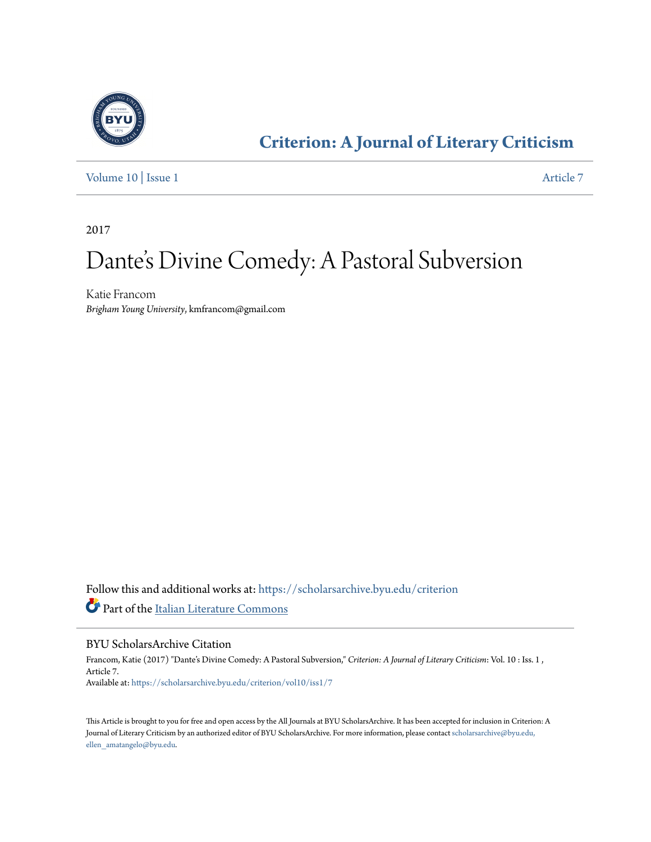

## **[Criterion: A Journal of Literary Criticism](https://scholarsarchive.byu.edu/criterion?utm_source=scholarsarchive.byu.edu%2Fcriterion%2Fvol10%2Fiss1%2F7&utm_medium=PDF&utm_campaign=PDFCoverPages)**

[Volume 10](https://scholarsarchive.byu.edu/criterion/vol10?utm_source=scholarsarchive.byu.edu%2Fcriterion%2Fvol10%2Fiss1%2F7&utm_medium=PDF&utm_campaign=PDFCoverPages) | [Issue 1](https://scholarsarchive.byu.edu/criterion/vol10/iss1?utm_source=scholarsarchive.byu.edu%2Fcriterion%2Fvol10%2Fiss1%2F7&utm_medium=PDF&utm_campaign=PDFCoverPages) [Article 7](https://scholarsarchive.byu.edu/criterion/vol10/iss1/7?utm_source=scholarsarchive.byu.edu%2Fcriterion%2Fvol10%2Fiss1%2F7&utm_medium=PDF&utm_campaign=PDFCoverPages)

2017

# Dante 's Divine Comedy: A Pastoral Subversion

Katie Francom *Brigham Young University*, kmfrancom@gmail.com

Follow this and additional works at: [https://scholarsarchive.byu.edu/criterion](https://scholarsarchive.byu.edu/criterion?utm_source=scholarsarchive.byu.edu%2Fcriterion%2Fvol10%2Fiss1%2F7&utm_medium=PDF&utm_campaign=PDFCoverPages) Part of the [Italian Literature Commons](http://network.bepress.com/hgg/discipline/473?utm_source=scholarsarchive.byu.edu%2Fcriterion%2Fvol10%2Fiss1%2F7&utm_medium=PDF&utm_campaign=PDFCoverPages)

#### BYU ScholarsArchive Citation

Francom, Katie (2017) "Dante's Divine Comedy: A Pastoral Subversion," *Criterion: A Journal of Literary Criticism*: Vol. 10 : Iss. 1 , Article 7. Available at: [https://scholarsarchive.byu.edu/criterion/vol10/iss1/7](https://scholarsarchive.byu.edu/criterion/vol10/iss1/7?utm_source=scholarsarchive.byu.edu%2Fcriterion%2Fvol10%2Fiss1%2F7&utm_medium=PDF&utm_campaign=PDFCoverPages)

This Article is brought to you for free and open access by the All Journals at BYU ScholarsArchive. It has been accepted for inclusion in Criterion: A Journal of Literary Criticism by an authorized editor of BYU ScholarsArchive. For more information, please contact [scholarsarchive@byu.edu,](mailto:scholarsarchive@byu.edu,%20ellen_amatangelo@byu.edu) [ellen\\_amatangelo@byu.edu.](mailto:scholarsarchive@byu.edu,%20ellen_amatangelo@byu.edu)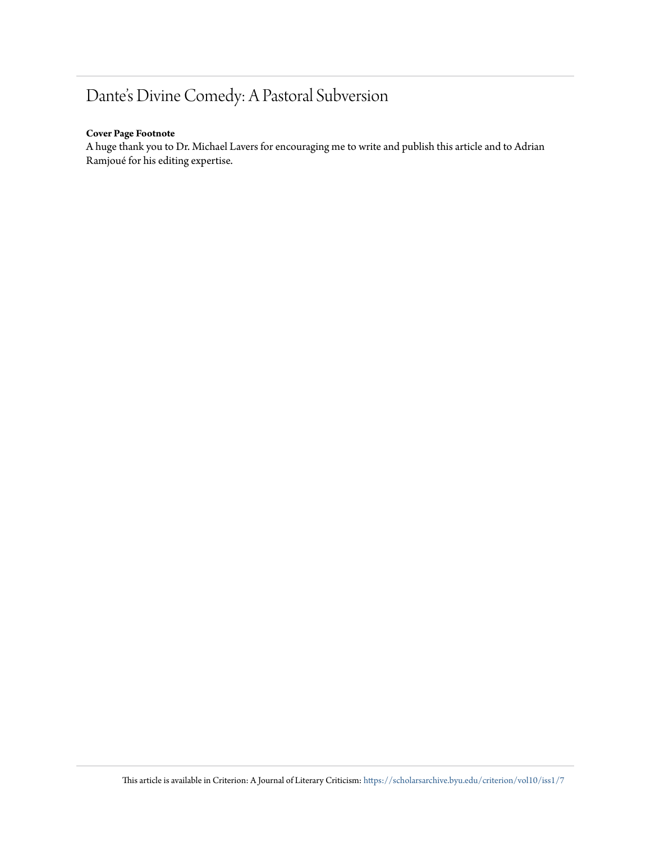### Dante's Divine Comedy: A Pastoral Subversion

#### **Cover Page Footnote**

A huge thank you to Dr. Michael Lavers for encouraging me to write and publish this article and to Adrian Ramjoué for his editing expertise.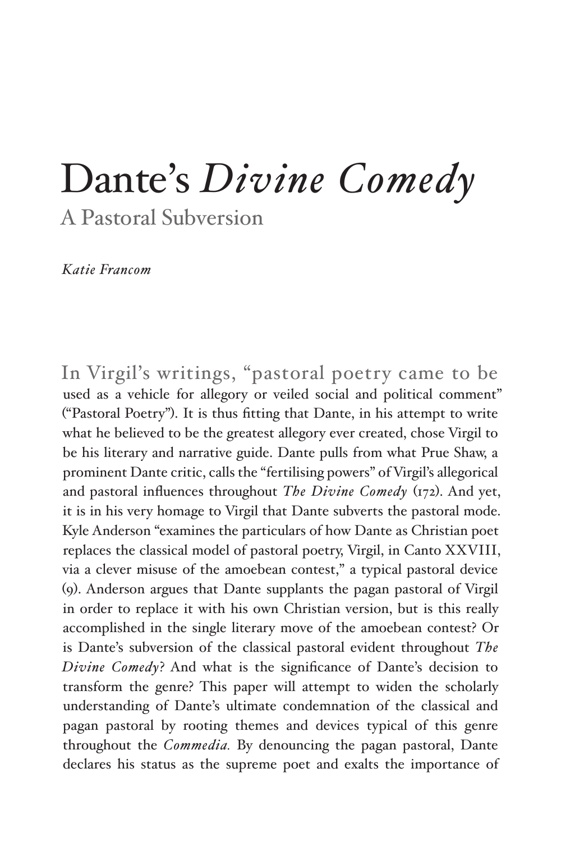## Dante's *Divine Comedy*  A Pastoral Subversion

*Katie Francom*

In Virgil's writings, "pastoral poetry came to be used as a vehicle for allegory or veiled social and political comment" ("Pastoral Poetry"). It is thus fitting that Dante, in his attempt to write what he believed to be the greatest allegory ever created, chose Virgil to be his literary and narrative guide. Dante pulls from what Prue Shaw, a prominent Dante critic, calls the "fertilising powers" of Virgil's allegorical and pastoral influences throughout *The Divine Comedy* (172). And yet, it is in his very homage to Virgil that Dante subverts the pastoral mode. Kyle Anderson "examines the particulars of how Dante as Christian poet replaces the classical model of pastoral poetry, Virgil, in Canto XXVIII, via a clever misuse of the amoebean contest," a typical pastoral device (9). Anderson argues that Dante supplants the pagan pastoral of Virgil in order to replace it with his own Christian version, but is this really accomplished in the single literary move of the amoebean contest? Or is Dante's subversion of the classical pastoral evident throughout *The Divine Comedy*? And what is the significance of Dante's decision to transform the genre? This paper will attempt to widen the scholarly understanding of Dante's ultimate condemnation of the classical and pagan pastoral by rooting themes and devices typical of this genre throughout the *Commedia.* By denouncing the pagan pastoral, Dante declares his status as the supreme poet and exalts the importance of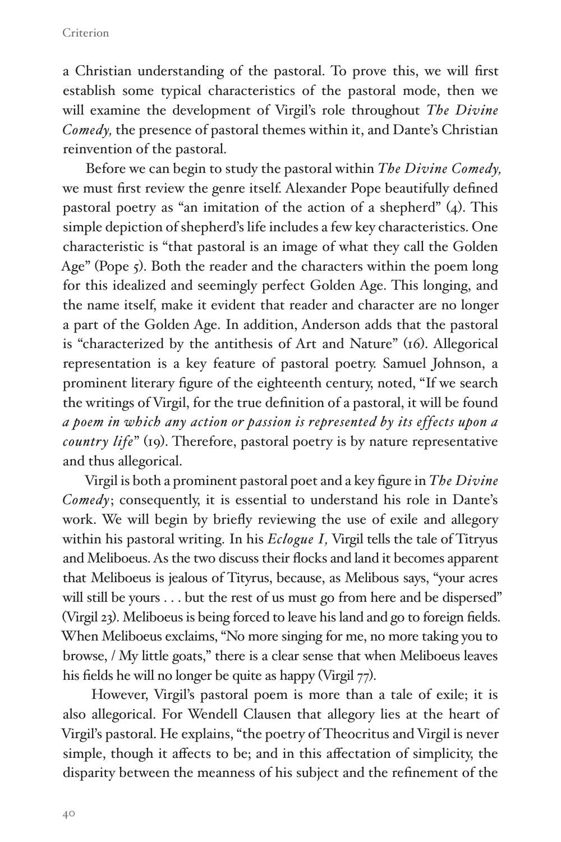#### Criterion

a Christian understanding of the pastoral. To prove this, we will first establish some typical characteristics of the pastoral mode, then we will examine the development of Virgil's role throughout *The Divine Comedy,* the presence of pastoral themes within it, and Dante's Christian reinvention of the pastoral.

Before we can begin to study the pastoral within *The Divine Comedy,*  we must first review the genre itself. Alexander Pope beautifully defined pastoral poetry as "an imitation of the action of a shepherd" (4). This simple depiction of shepherd's life includes a few key characteristics. One characteristic is "that pastoral is an image of what they call the Golden Age" (Pope 5). Both the reader and the characters within the poem long for this idealized and seemingly perfect Golden Age. This longing, and the name itself, make it evident that reader and character are no longer a part of the Golden Age. In addition, Anderson adds that the pastoral is "characterized by the antithesis of Art and Nature" (16). Allegorical representation is a key feature of pastoral poetry. Samuel Johnson, a prominent literary figure of the eighteenth century, noted, "If we search the writings of Virgil, for the true definition of a pastoral, it will be found *a poem in which any action or passion is represented by its effects upon a country life*" (19). Therefore, pastoral poetry is by nature representative and thus allegorical.

Virgil is both a prominent pastoral poet and a key figure in *The Divine Comedy*; consequently, it is essential to understand his role in Dante's work. We will begin by briefly reviewing the use of exile and allegory within his pastoral writing. In his *Eclogue I,* Virgil tells the tale of Titryus and Meliboeus. As the two discuss their flocks and land it becomes apparent that Meliboeus is jealous of Tityrus, because, as Melibous says, "your acres will still be yours . . . but the rest of us must go from here and be dispersed" (Virgil 23). Meliboeus is being forced to leave his land and go to foreign fields. When Meliboeus exclaims, "No more singing for me, no more taking you to browse, / My little goats," there is a clear sense that when Meliboeus leaves his fields he will no longer be quite as happy (Virgil 77).

 However, Virgil's pastoral poem is more than a tale of exile; it is also allegorical. For Wendell Clausen that allegory lies at the heart of Virgil's pastoral. He explains, "the poetry of Theocritus and Virgil is never simple, though it affects to be; and in this affectation of simplicity, the disparity between the meanness of his subject and the refinement of the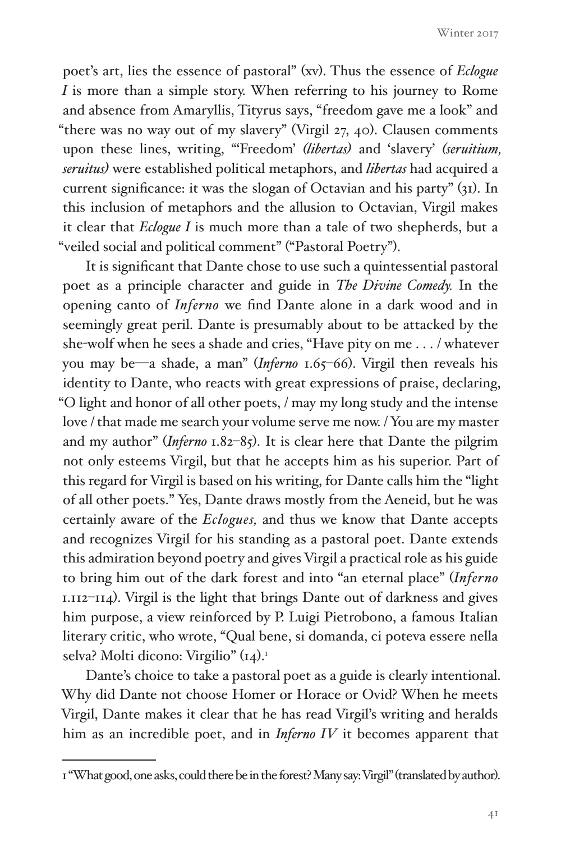poet's art, lies the essence of pastoral" (xv). Thus the essence of *Eclogue I* is more than a simple story. When referring to his journey to Rome and absence from Amaryllis, Tityrus says, "freedom gave me a look" and "there was no way out of my slavery" (Virgil 27, 40). Clausen comments upon these lines, writing, "'Freedom' *(libertas)* and 'slavery' *(seruitium, seruitus)* were established political metaphors, and *libertas* had acquired a current significance: it was the slogan of Octavian and his party" (31). In this inclusion of metaphors and the allusion to Octavian, Virgil makes it clear that *Eclogue I* is much more than a tale of two shepherds, but a "veiled social and political comment" ("Pastoral Poetry").

It is significant that Dante chose to use such a quintessential pastoral poet as a principle character and guide in *The Divine Comedy.* In the opening canto of *Inferno* we find Dante alone in a dark wood and in seemingly great peril. Dante is presumably about to be attacked by the she-wolf when he sees a shade and cries, "Have pity on me . . . / whatever you may be—a shade, a man" (*Inferno* 1.65-66). Virgil then reveals his identity to Dante, who reacts with great expressions of praise, declaring, "O light and honor of all other poets, / may my long study and the intense love / that made me search your volume serve me now. / You are my master and my author" (*Inferno* 1.82–85). It is clear here that Dante the pilgrim not only esteems Virgil, but that he accepts him as his superior. Part of this regard for Virgil is based on his writing, for Dante calls him the "light of all other poets." Yes, Dante draws mostly from the Aeneid, but he was certainly aware of the *Eclogues,* and thus we know that Dante accepts and recognizes Virgil for his standing as a pastoral poet. Dante extends this admiration beyond poetry and gives Virgil a practical role as his guide to bring him out of the dark forest and into "an eternal place" (*Inferno*  1.112–114). Virgil is the light that brings Dante out of darkness and gives him purpose, a view reinforced by P. Luigi Pietrobono, a famous Italian literary critic, who wrote, "Qual bene, si domanda, ci poteva essere nella selva? Molti dicono: Virgilio" (14).<sup>1</sup>

Dante's choice to take a pastoral poet as a guide is clearly intentional. Why did Dante not choose Homer or Horace or Ovid? When he meets Virgil, Dante makes it clear that he has read Virgil's writing and heralds him as an incredible poet, and in *Inferno IV* it becomes apparent that

<sup>1 &</sup>quot;What good, one asks, could there be in the forest? Many say: Virgil" (translated by author).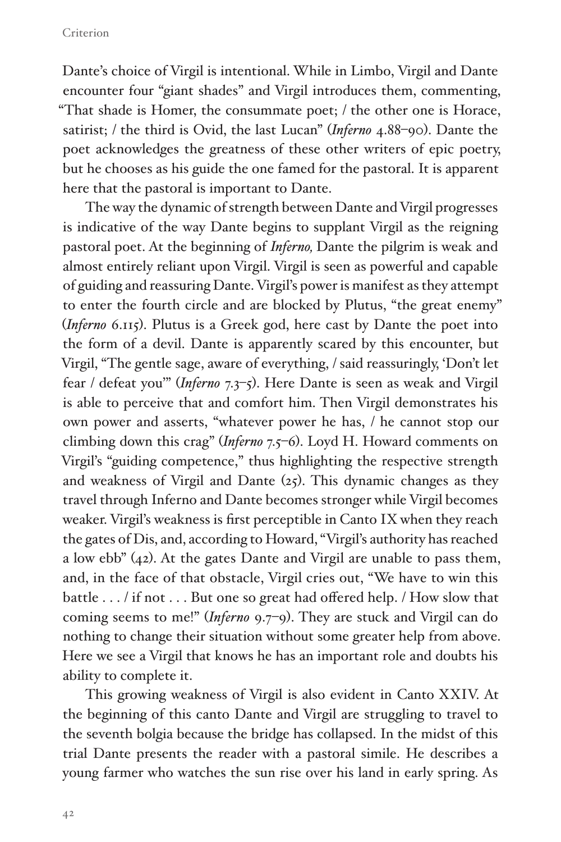Dante's choice of Virgil is intentional. While in Limbo, Virgil and Dante encounter four "giant shades" and Virgil introduces them, commenting, "That shade is Homer, the consummate poet; / the other one is Horace, satirist; / the third is Ovid, the last Lucan" (*Inferno* 4.88–90). Dante the poet acknowledges the greatness of these other writers of epic poetry, but he chooses as his guide the one famed for the pastoral. It is apparent here that the pastoral is important to Dante.

The way the dynamic of strength between Dante and Virgil progresses is indicative of the way Dante begins to supplant Virgil as the reigning pastoral poet. At the beginning of *Inferno,* Dante the pilgrim is weak and almost entirely reliant upon Virgil. Virgil is seen as powerful and capable of guiding and reassuring Dante. Virgil's power is manifest as they attempt to enter the fourth circle and are blocked by Plutus, "the great enemy" (*Inferno* 6.115). Plutus is a Greek god, here cast by Dante the poet into the form of a devil. Dante is apparently scared by this encounter, but Virgil, "The gentle sage, aware of everything, / said reassuringly, 'Don't let fear / defeat you'" (*Inferno* 7.3–5). Here Dante is seen as weak and Virgil is able to perceive that and comfort him. Then Virgil demonstrates his own power and asserts, "whatever power he has, / he cannot stop our climbing down this crag" (*Inferno* 7.5–6). Loyd H. Howard comments on Virgil's "guiding competence," thus highlighting the respective strength and weakness of Virgil and Dante (25). This dynamic changes as they travel through Inferno and Dante becomes stronger while Virgil becomes weaker. Virgil's weakness is first perceptible in Canto IX when they reach the gates of Dis, and, according to Howard, "Virgil's authority has reached a low ebb" (42). At the gates Dante and Virgil are unable to pass them, and, in the face of that obstacle, Virgil cries out, "We have to win this battle . . . / if not . . . But one so great had offered help. / How slow that coming seems to me!" (*Inferno* 9.7–9). They are stuck and Virgil can do nothing to change their situation without some greater help from above. Here we see a Virgil that knows he has an important role and doubts his ability to complete it.

This growing weakness of Virgil is also evident in Canto XXIV. At the beginning of this canto Dante and Virgil are struggling to travel to the seventh bolgia because the bridge has collapsed. In the midst of this trial Dante presents the reader with a pastoral simile. He describes a young farmer who watches the sun rise over his land in early spring. As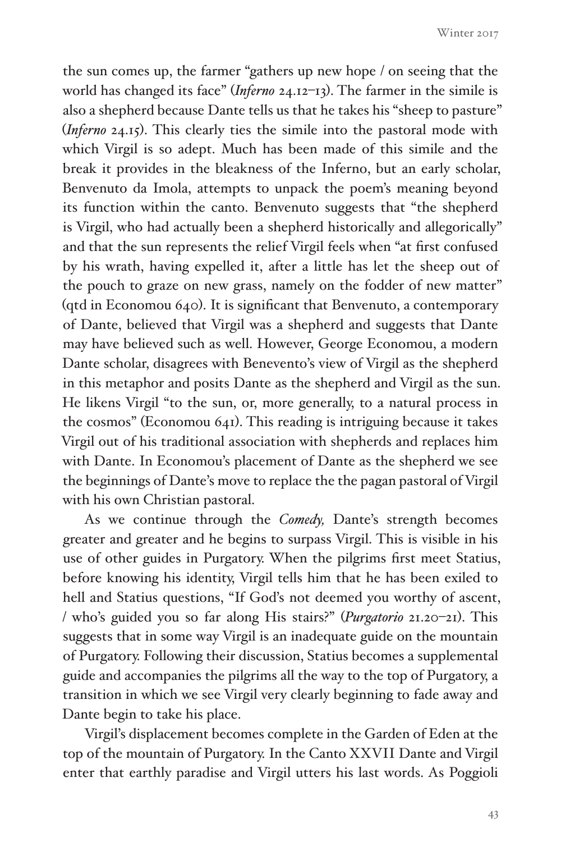the sun comes up, the farmer "gathers up new hope / on seeing that the world has changed its face" (*Inferno* 24.12–13). The farmer in the simile is also a shepherd because Dante tells us that he takes his "sheep to pasture" (*Inferno* 24.15). This clearly ties the simile into the pastoral mode with which Virgil is so adept. Much has been made of this simile and the break it provides in the bleakness of the Inferno, but an early scholar, Benvenuto da Imola, attempts to unpack the poem's meaning beyond its function within the canto. Benvenuto suggests that "the shepherd is Virgil, who had actually been a shepherd historically and allegorically" and that the sun represents the relief Virgil feels when "at first confused by his wrath, having expelled it, after a little has let the sheep out of the pouch to graze on new grass, namely on the fodder of new matter" (qtd in Economou 640). It is significant that Benvenuto, a contemporary of Dante, believed that Virgil was a shepherd and suggests that Dante may have believed such as well. However, George Economou, a modern Dante scholar, disagrees with Benevento's view of Virgil as the shepherd in this metaphor and posits Dante as the shepherd and Virgil as the sun. He likens Virgil "to the sun, or, more generally, to a natural process in the cosmos" (Economou 641). This reading is intriguing because it takes Virgil out of his traditional association with shepherds and replaces him with Dante. In Economou's placement of Dante as the shepherd we see the beginnings of Dante's move to replace the the pagan pastoral of Virgil with his own Christian pastoral.

As we continue through the *Comedy,* Dante's strength becomes greater and greater and he begins to surpass Virgil. This is visible in his use of other guides in Purgatory. When the pilgrims first meet Statius, before knowing his identity, Virgil tells him that he has been exiled to hell and Statius questions, "If God's not deemed you worthy of ascent, / who's guided you so far along His stairs?" (*Purgatorio* 21.20–21). This suggests that in some way Virgil is an inadequate guide on the mountain of Purgatory. Following their discussion, Statius becomes a supplemental guide and accompanies the pilgrims all the way to the top of Purgatory, a transition in which we see Virgil very clearly beginning to fade away and Dante begin to take his place.

Virgil's displacement becomes complete in the Garden of Eden at the top of the mountain of Purgatory. In the Canto XXVII Dante and Virgil enter that earthly paradise and Virgil utters his last words. As Poggioli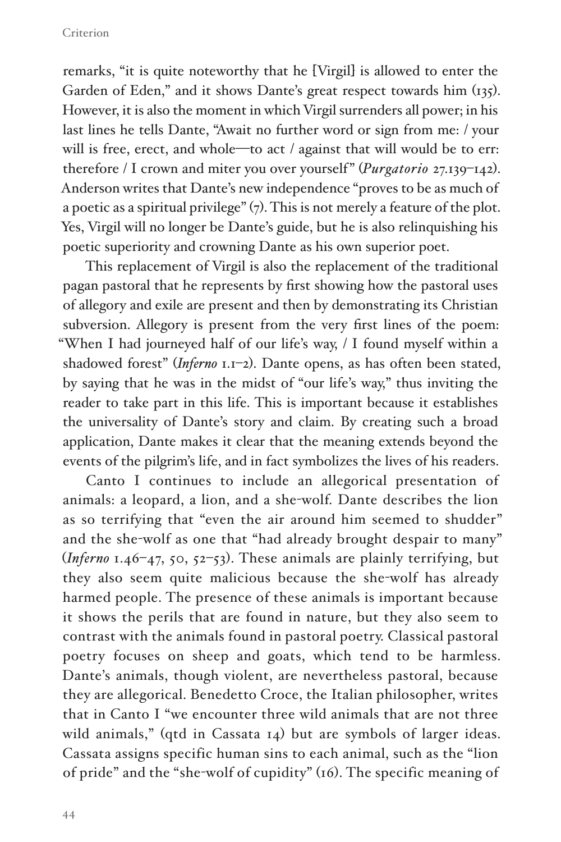remarks, "it is quite noteworthy that he [Virgil] is allowed to enter the Garden of Eden," and it shows Dante's great respect towards him (135). However, it is also the moment in which Virgil surrenders all power; in his last lines he tells Dante, "Await no further word or sign from me: / your will is free, erect, and whole—to act / against that will would be to err: therefore / I crown and miter you over yourself" (*Purgatorio* 27.139–142). Anderson writes that Dante's new independence "proves to be as much of a poetic as a spiritual privilege" (7). This is not merely a feature of the plot. Yes, Virgil will no longer be Dante's guide, but he is also relinquishing his poetic superiority and crowning Dante as his own superior poet.

This replacement of Virgil is also the replacement of the traditional pagan pastoral that he represents by first showing how the pastoral uses of allegory and exile are present and then by demonstrating its Christian subversion. Allegory is present from the very first lines of the poem: "When I had journeyed half of our life's way, / I found myself within a shadowed forest" (*Inferno* 1.1–2). Dante opens, as has often been stated, by saying that he was in the midst of "our life's way," thus inviting the reader to take part in this life. This is important because it establishes the universality of Dante's story and claim. By creating such a broad application, Dante makes it clear that the meaning extends beyond the events of the pilgrim's life, and in fact symbolizes the lives of his readers.

Canto I continues to include an allegorical presentation of animals: a leopard, a lion, and a she-wolf. Dante describes the lion as so terrifying that "even the air around him seemed to shudder" and the she-wolf as one that "had already brought despair to many" (*Inferno* 1.46–47, 50, 52–53). These animals are plainly terrifying, but they also seem quite malicious because the she-wolf has already harmed people. The presence of these animals is important because it shows the perils that are found in nature, but they also seem to contrast with the animals found in pastoral poetry. Classical pastoral poetry focuses on sheep and goats, which tend to be harmless. Dante's animals, though violent, are nevertheless pastoral, because they are allegorical. Benedetto Croce, the Italian philosopher, writes that in Canto I "we encounter three wild animals that are not three wild animals," (qtd in Cassata 14) but are symbols of larger ideas. Cassata assigns specific human sins to each animal, such as the "lion of pride" and the "she-wolf of cupidity" (16). The specific meaning of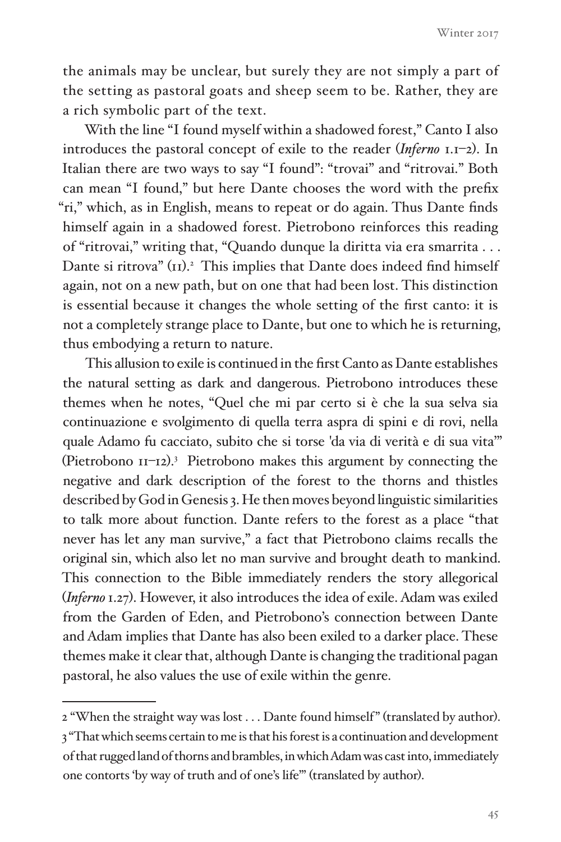Winter 2017

the animals may be unclear, but surely they are not simply a part of the setting as pastoral goats and sheep seem to be. Rather, they are a rich symbolic part of the text.

With the line "I found myself within a shadowed forest," Canto I also introduces the pastoral concept of exile to the reader (*Inferno* 1.1–2). In Italian there are two ways to say "I found": "trovai" and "ritrovai." Both can mean "I found," but here Dante chooses the word with the prefix "ri," which, as in English, means to repeat or do again. Thus Dante finds himself again in a shadowed forest. Pietrobono reinforces this reading of "ritrovai," writing that, "Quando dunque la diritta via era smarrita . . . Dante si ritrova" (II).<sup>2</sup> This implies that Dante does indeed find himself again, not on a new path, but on one that had been lost. This distinction is essential because it changes the whole setting of the first canto: it is not a completely strange place to Dante, but one to which he is returning, thus embodying a return to nature.

This allusion to exile is continued in the first Canto as Dante establishes the natural setting as dark and dangerous. Pietrobono introduces these themes when he notes, "Quel che mi par certo si è che la sua selva sia continuazione e svolgimento di quella terra aspra di spini e di rovi, nella quale Adamo fu cacciato, subito che si torse 'da via di verità e di sua vita'" (Pietrobono 11–12).3 Pietrobono makes this argument by connecting the negative and dark description of the forest to the thorns and thistles described by God in Genesis 3. He then moves beyond linguistic similarities to talk more about function. Dante refers to the forest as a place "that never has let any man survive," a fact that Pietrobono claims recalls the original sin, which also let no man survive and brought death to mankind. This connection to the Bible immediately renders the story allegorical (*Inferno* 1.27). However, it also introduces the idea of exile. Adam was exiled from the Garden of Eden, and Pietrobono's connection between Dante and Adam implies that Dante has also been exiled to a darker place. These themes make it clear that, although Dante is changing the traditional pagan pastoral, he also values the use of exile within the genre.

<sup>2 &</sup>quot;When the straight way was lost . . . Dante found himself" (translated by author). 3 "That which seems certain to me is that his forest is a continuation and development of that rugged land of thorns and brambles, in which Adam was cast into, immediately one contorts 'by way of truth and of one's life'" (translated by author).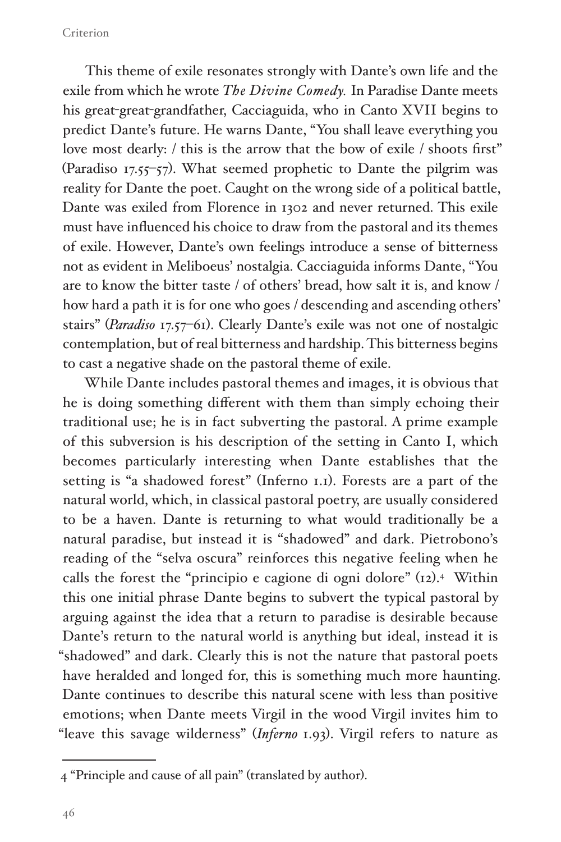#### Criterion

This theme of exile resonates strongly with Dante's own life and the exile from which he wrote *The Divine Comedy.* In Paradise Dante meets his great-great-grandfather, Cacciaguida, who in Canto XVII begins to predict Dante's future. He warns Dante, "You shall leave everything you love most dearly: / this is the arrow that the bow of exile / shoots first" (Paradiso 17.55–57). What seemed prophetic to Dante the pilgrim was reality for Dante the poet. Caught on the wrong side of a political battle, Dante was exiled from Florence in 1302 and never returned. This exile must have influenced his choice to draw from the pastoral and its themes of exile. However, Dante's own feelings introduce a sense of bitterness not as evident in Meliboeus' nostalgia. Cacciaguida informs Dante, "You are to know the bitter taste / of others' bread, how salt it is, and know / how hard a path it is for one who goes / descending and ascending others' stairs" (*Paradiso* 17.57–61). Clearly Dante's exile was not one of nostalgic contemplation, but of real bitterness and hardship. This bitterness begins to cast a negative shade on the pastoral theme of exile.

While Dante includes pastoral themes and images, it is obvious that he is doing something different with them than simply echoing their traditional use; he is in fact subverting the pastoral. A prime example of this subversion is his description of the setting in Canto I, which becomes particularly interesting when Dante establishes that the setting is "a shadowed forest" (Inferno 1.1). Forests are a part of the natural world, which, in classical pastoral poetry, are usually considered to be a haven. Dante is returning to what would traditionally be a natural paradise, but instead it is "shadowed" and dark. Pietrobono's reading of the "selva oscura" reinforces this negative feeling when he calls the forest the "principio e cagione di ogni dolore" (12).<sup>4</sup> Within this one initial phrase Dante begins to subvert the typical pastoral by arguing against the idea that a return to paradise is desirable because Dante's return to the natural world is anything but ideal, instead it is "shadowed" and dark. Clearly this is not the nature that pastoral poets have heralded and longed for, this is something much more haunting. Dante continues to describe this natural scene with less than positive emotions; when Dante meets Virgil in the wood Virgil invites him to "leave this savage wilderness" (*Inferno* 1.93). Virgil refers to nature as

<sup>4 &</sup>quot;Principle and cause of all pain" (translated by author).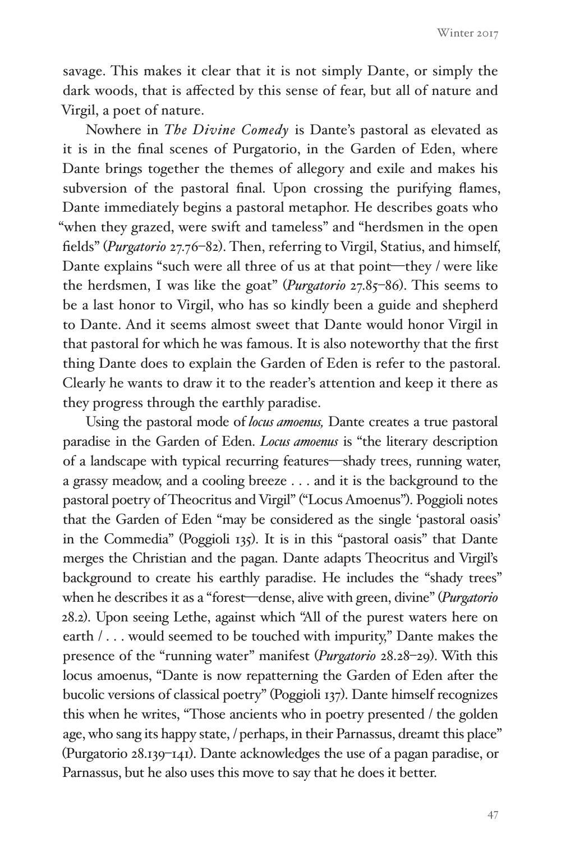Winter 2017

savage. This makes it clear that it is not simply Dante, or simply the dark woods, that is affected by this sense of fear, but all of nature and Virgil, a poet of nature.

Nowhere in *The Divine Comedy* is Dante's pastoral as elevated as it is in the final scenes of Purgatorio, in the Garden of Eden, where Dante brings together the themes of allegory and exile and makes his subversion of the pastoral final. Upon crossing the purifying flames, Dante immediately begins a pastoral metaphor. He describes goats who "when they grazed, were swift and tameless" and "herdsmen in the open fields" (*Purgatorio* 27.76–82). Then, referring to Virgil, Statius, and himself, Dante explains "such were all three of us at that point—they / were like the herdsmen, I was like the goat" (*Purgatorio* 27.85–86). This seems to be a last honor to Virgil, who has so kindly been a guide and shepherd to Dante. And it seems almost sweet that Dante would honor Virgil in that pastoral for which he was famous. It is also noteworthy that the first thing Dante does to explain the Garden of Eden is refer to the pastoral. Clearly he wants to draw it to the reader's attention and keep it there as they progress through the earthly paradise.

Using the pastoral mode of *locus amoenus,* Dante creates a true pastoral paradise in the Garden of Eden. *Locus amoenus* is "the literary description of a landscape with typical recurring features—shady trees, running water, a grassy meadow, and a cooling breeze . . . and it is the background to the pastoral poetry of Theocritus and Virgil" ("Locus Amoenus"). Poggioli notes that the Garden of Eden "may be considered as the single 'pastoral oasis' in the Commedia" (Poggioli 135). It is in this "pastoral oasis" that Dante merges the Christian and the pagan. Dante adapts Theocritus and Virgil's background to create his earthly paradise. He includes the "shady trees" when he describes it as a "forest—dense, alive with green, divine" (*Purgatorio* 28.2). Upon seeing Lethe, against which "All of the purest waters here on earth / . . . would seemed to be touched with impurity," Dante makes the presence of the "running water" manifest (*Purgatorio* 28.28–29). With this locus amoenus, "Dante is now repatterning the Garden of Eden after the bucolic versions of classical poetry" (Poggioli 137). Dante himself recognizes this when he writes, "Those ancients who in poetry presented / the golden age, who sang its happy state, / perhaps, in their Parnassus, dreamt this place" (Purgatorio 28.139–141). Dante acknowledges the use of a pagan paradise, or Parnassus, but he also uses this move to say that he does it better.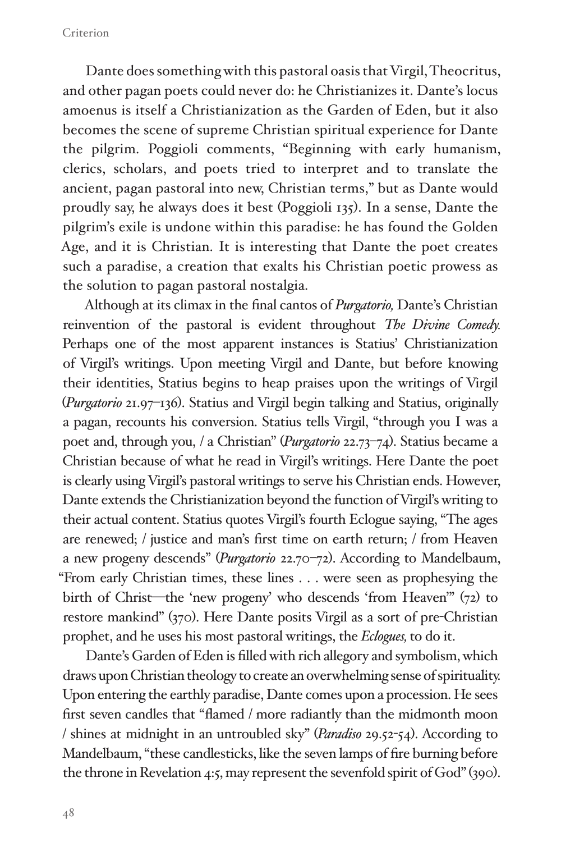Dante does something with this pastoral oasis that Virgil, Theocritus, and other pagan poets could never do: he Christianizes it. Dante's locus amoenus is itself a Christianization as the Garden of Eden, but it also becomes the scene of supreme Christian spiritual experience for Dante the pilgrim. Poggioli comments, "Beginning with early humanism, clerics, scholars, and poets tried to interpret and to translate the ancient, pagan pastoral into new, Christian terms," but as Dante would proudly say, he always does it best (Poggioli 135). In a sense, Dante the pilgrim's exile is undone within this paradise: he has found the Golden Age, and it is Christian. It is interesting that Dante the poet creates such a paradise, a creation that exalts his Christian poetic prowess as the solution to pagan pastoral nostalgia.

Although at its climax in the final cantos of *Purgatorio,* Dante's Christian reinvention of the pastoral is evident throughout *The Divine Comedy.*  Perhaps one of the most apparent instances is Statius' Christianization of Virgil's writings. Upon meeting Virgil and Dante, but before knowing their identities, Statius begins to heap praises upon the writings of Virgil (*Purgatorio* 21.97–136). Statius and Virgil begin talking and Statius, originally a pagan, recounts his conversion. Statius tells Virgil, "through you I was a poet and, through you, / a Christian" (*Purgatorio* 22.73–74). Statius became a Christian because of what he read in Virgil's writings. Here Dante the poet is clearly using Virgil's pastoral writings to serve his Christian ends. However, Dante extends the Christianization beyond the function of Virgil's writing to their actual content. Statius quotes Virgil's fourth Eclogue saying, "The ages are renewed; / justice and man's first time on earth return; / from Heaven a new progeny descends" (*Purgatorio* 22.70–72). According to Mandelbaum, "From early Christian times, these lines . . . were seen as prophesying the birth of Christ—the 'new progeny' who descends 'from Heaven'" (72) to restore mankind" (370). Here Dante posits Virgil as a sort of pre-Christian prophet, and he uses his most pastoral writings, the *Eclogues,* to do it.

Dante's Garden of Eden is filled with rich allegory and symbolism, which draws upon Christian theology to create an overwhelming sense of spirituality. Upon entering the earthly paradise, Dante comes upon a procession. He sees first seven candles that "flamed / more radiantly than the midmonth moon / shines at midnight in an untroubled sky" (*Paradiso* 29.52-54). According to Mandelbaum, "these candlesticks, like the seven lamps of fire burning before the throne in Revelation 4:5, may represent the sevenfold spirit of God" (390).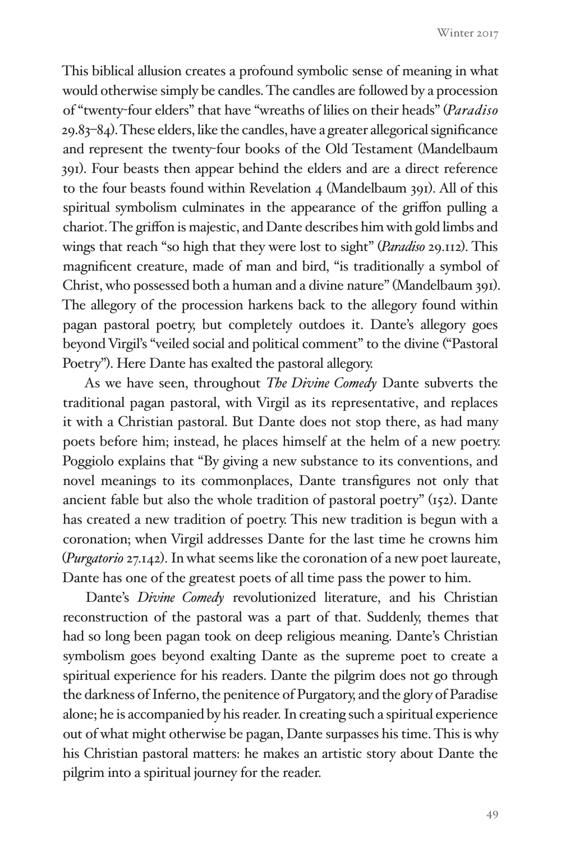This biblical allusion creates a profound symbolic sense of meaning in what would otherwise simply be candles. The candles are followed by a procession of "twenty-four elders" that have "wreaths of lilies on their heads" (*Paradiso*  29.83–84). These elders, like the candles, have a greater allegorical significance and represent the twenty-four books of the Old Testament (Mandelbaum 391). Four beasts then appear behind the elders and are a direct reference to the four beasts found within Revelation 4 (Mandelbaum 391). All of this spiritual symbolism culminates in the appearance of the griffon pulling a chariot. The griffon is majestic, and Dante describes him with gold limbs and wings that reach "so high that they were lost to sight" (*Paradiso* 29.112). This magnificent creature, made of man and bird, "is traditionally a symbol of Christ, who possessed both a human and a divine nature" (Mandelbaum 391). The allegory of the procession harkens back to the allegory found within pagan pastoral poetry, but completely outdoes it. Dante's allegory goes beyond Virgil's "veiled social and political comment" to the divine ("Pastoral Poetry"). Here Dante has exalted the pastoral allegory.

As we have seen, throughout *The Divine Comedy* Dante subverts the traditional pagan pastoral, with Virgil as its representative, and replaces it with a Christian pastoral. But Dante does not stop there, as had many poets before him; instead, he places himself at the helm of a new poetry. Poggiolo explains that "By giving a new substance to its conventions, and novel meanings to its commonplaces, Dante transfigures not only that ancient fable but also the whole tradition of pastoral poetry"  $(r<sub>52</sub>)$ . Dante has created a new tradition of poetry. This new tradition is begun with a coronation; when Virgil addresses Dante for the last time he crowns him (*Purgatorio* 27.142). In what seems like the coronation of a new poet laureate, Dante has one of the greatest poets of all time pass the power to him.

Dante's *Divine Comedy* revolutionized literature, and his Christian reconstruction of the pastoral was a part of that. Suddenly, themes that had so long been pagan took on deep religious meaning. Dante's Christian symbolism goes beyond exalting Dante as the supreme poet to create a spiritual experience for his readers. Dante the pilgrim does not go through the darkness of Inferno, the penitence of Purgatory, and the glory of Paradise alone; he is accompanied by his reader. In creating such a spiritual experience out of what might otherwise be pagan, Dante surpasses his time. This is why his Christian pastoral matters: he makes an artistic story about Dante the pilgrim into a spiritual journey for the reader.